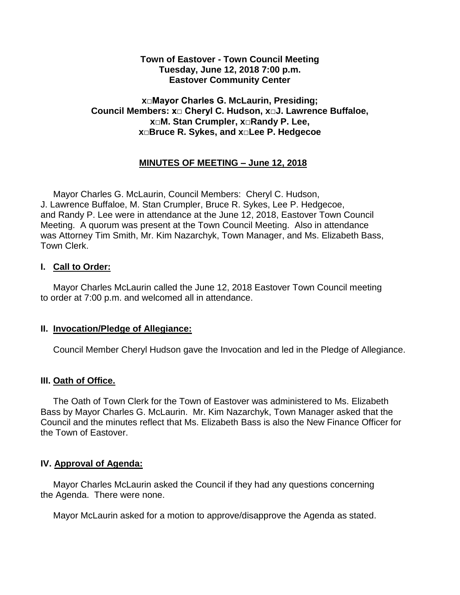### **Town of Eastover - Town Council Meeting Tuesday, June 12, 2018 7:00 p.m. Eastover Community Center**

## **x□Mayor Charles G. McLaurin, Presiding; Council Members: x□ Cheryl C. Hudson, x□J. Lawrence Buffaloe, x□M. Stan Crumpler, x□Randy P. Lee, x□Bruce R. Sykes, and x□Lee P. Hedgecoe**

# **MINUTES OF MEETING – June 12, 2018**

 Mayor Charles G. McLaurin, Council Members: Cheryl C. Hudson, J. Lawrence Buffaloe, M. Stan Crumpler, Bruce R. Sykes, Lee P. Hedgecoe, and Randy P. Lee were in attendance at the June 12, 2018, Eastover Town Council Meeting. A quorum was present at the Town Council Meeting. Also in attendance was Attorney Tim Smith, Mr. Kim Nazarchyk, Town Manager, and Ms. Elizabeth Bass, Town Clerk.

#### **I. Call to Order:**

 Mayor Charles McLaurin called the June 12, 2018 Eastover Town Council meeting to order at 7:00 p.m. and welcomed all in attendance.

#### **II. Invocation/Pledge of Allegiance:**

Council Member Cheryl Hudson gave the Invocation and led in the Pledge of Allegiance.

## **III. Oath of Office.**

 The Oath of Town Clerk for the Town of Eastover was administered to Ms. Elizabeth Bass by Mayor Charles G. McLaurin. Mr. Kim Nazarchyk, Town Manager asked that the Council and the minutes reflect that Ms. Elizabeth Bass is also the New Finance Officer for the Town of Eastover.

# **IV. Approval of Agenda:**

 Mayor Charles McLaurin asked the Council if they had any questions concerning the Agenda. There were none.

Mayor McLaurin asked for a motion to approve/disapprove the Agenda as stated.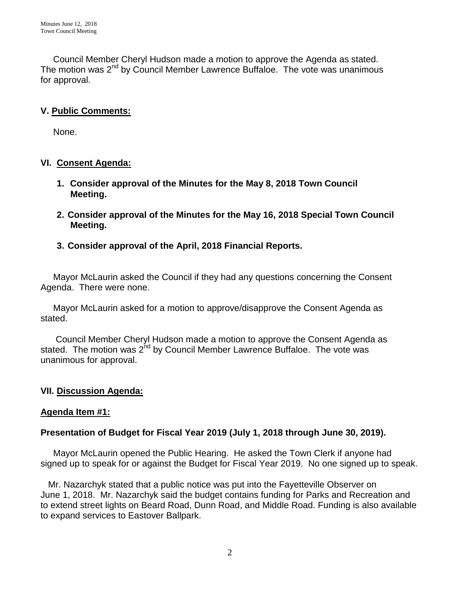Council Member Cheryl Hudson made a motion to approve the Agenda as stated. The motion was  $2^{nd}$  by Council Member Lawrence Buffaloe. The vote was unanimous for approval.

# **V. Public Comments:**

None.

## **VI. Consent Agenda:**

- **1. Consider approval of the Minutes for the May 8, 2018 Town Council Meeting.**
- **2. Consider approval of the Minutes for the May 16, 2018 Special Town Council Meeting.**

# **3. Consider approval of the April, 2018 Financial Reports.**

 Mayor McLaurin asked the Council if they had any questions concerning the Consent Agenda. There were none.

 Mayor McLaurin asked for a motion to approve/disapprove the Consent Agenda as stated.

 Council Member Cheryl Hudson made a motion to approve the Consent Agenda as stated. The motion was  $2^{nd}$  by Council Member Lawrence Buffaloe. The vote was unanimous for approval.

## **VII. Discussion Agenda:**

## **Agenda Item #1:**

## **Presentation of Budget for Fiscal Year 2019 (July 1, 2018 through June 30, 2019).**

 Mayor McLaurin opened the Public Hearing. He asked the Town Clerk if anyone had signed up to speak for or against the Budget for Fiscal Year 2019. No one signed up to speak.

 Mr. Nazarchyk stated that a public notice was put into the Fayetteville Observer on June 1, 2018. Mr. Nazarchyk said the budget contains funding for Parks and Recreation and to extend street lights on Beard Road, Dunn Road, and Middle Road. Funding is also available to expand services to Eastover Ballpark.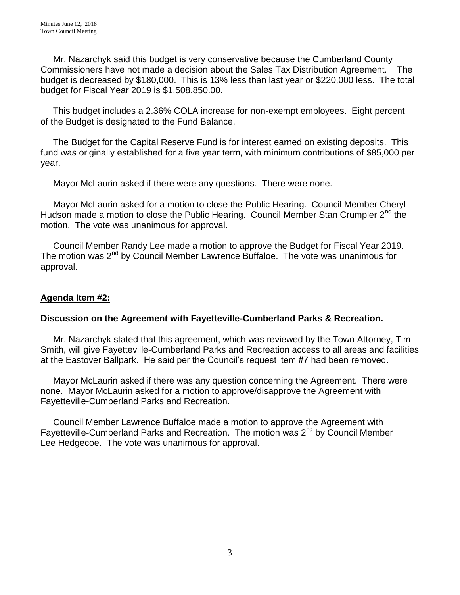Mr. Nazarchyk said this budget is very conservative because the Cumberland County Commissioners have not made a decision about the Sales Tax Distribution Agreement. The budget is decreased by \$180,000. This is 13% less than last year or \$220,000 less. The total budget for Fiscal Year 2019 is \$1,508,850.00.

 This budget includes a 2.36% COLA increase for non-exempt employees. Eight percent of the Budget is designated to the Fund Balance.

 The Budget for the Capital Reserve Fund is for interest earned on existing deposits. This fund was originally established for a five year term, with minimum contributions of \$85,000 per year.

Mayor McLaurin asked if there were any questions. There were none.

 Mayor McLaurin asked for a motion to close the Public Hearing. Council Member Cheryl Hudson made a motion to close the Public Hearing. Council Member Stan Crumpler 2<sup>nd</sup> the motion. The vote was unanimous for approval.

 Council Member Randy Lee made a motion to approve the Budget for Fiscal Year 2019. The motion was  $2<sup>nd</sup>$  by Council Member Lawrence Buffaloe. The vote was unanimous for approval.

# **Agenda Item #2:**

## **Discussion on the Agreement with Fayetteville-Cumberland Parks & Recreation.**

Mr. Nazarchyk stated that this agreement, which was reviewed by the Town Attorney, Tim Smith, will give Fayetteville-Cumberland Parks and Recreation access to all areas and facilities at the Eastover Ballpark. He said per the Council's request item #7 had been removed.

 Mayor McLaurin asked if there was any question concerning the Agreement. There were none. Mayor McLaurin asked for a motion to approve/disapprove the Agreement with Fayetteville-Cumberland Parks and Recreation.

 Council Member Lawrence Buffaloe made a motion to approve the Agreement with Fayetteville-Cumberland Parks and Recreation. The motion was 2<sup>nd</sup> by Council Member Lee Hedgecoe. The vote was unanimous for approval.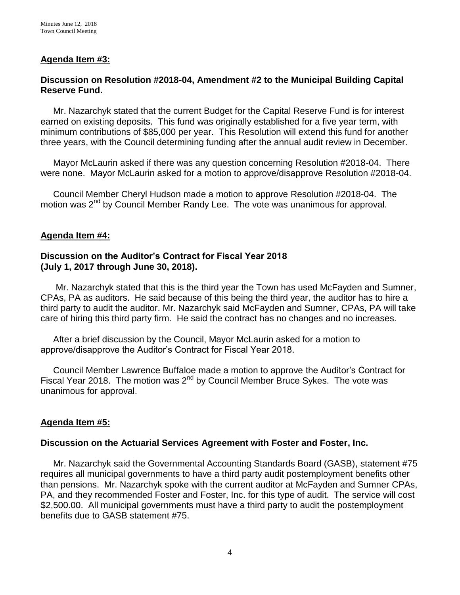## **Agenda Item #3:**

### **Discussion on Resolution #2018-04, Amendment #2 to the Municipal Building Capital Reserve Fund.**

 Mr. Nazarchyk stated that the current Budget for the Capital Reserve Fund is for interest earned on existing deposits. This fund was originally established for a five year term, with minimum contributions of \$85,000 per year. This Resolution will extend this fund for another three years, with the Council determining funding after the annual audit review in December.

 Mayor McLaurin asked if there was any question concerning Resolution #2018-04. There were none. Mayor McLaurin asked for a motion to approve/disapprove Resolution #2018-04.

 Council Member Cheryl Hudson made a motion to approve Resolution #2018-04. The motion was 2<sup>nd</sup> by Council Member Randy Lee. The vote was unanimous for approval.

#### **Agenda Item #4:**

## **Discussion on the Auditor's Contract for Fiscal Year 2018 (July 1, 2017 through June 30, 2018).**

 Mr. Nazarchyk stated that this is the third year the Town has used McFayden and Sumner, CPAs, PA as auditors. He said because of this being the third year, the auditor has to hire a third party to audit the auditor. Mr. Nazarchyk said McFayden and Sumner, CPAs, PA will take care of hiring this third party firm. He said the contract has no changes and no increases.

 After a brief discussion by the Council, Mayor McLaurin asked for a motion to approve/disapprove the Auditor's Contract for Fiscal Year 2018.

 Council Member Lawrence Buffaloe made a motion to approve the Auditor's Contract for Fiscal Year 2018. The motion was 2<sup>nd</sup> by Council Member Bruce Sykes. The vote was unanimous for approval.

#### **Agenda Item #5:**

#### **Discussion on the Actuarial Services Agreement with Foster and Foster, Inc.**

Mr. Nazarchyk said the Governmental Accounting Standards Board (GASB), statement #75 requires all municipal governments to have a third party audit postemployment benefits other than pensions. Mr. Nazarchyk spoke with the current auditor at McFayden and Sumner CPAs, PA, and they recommended Foster and Foster, Inc. for this type of audit. The service will cost \$2,500.00. All municipal governments must have a third party to audit the postemployment benefits due to GASB statement #75.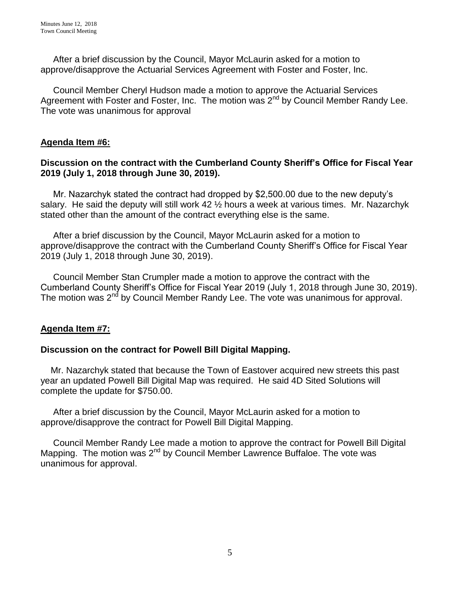After a brief discussion by the Council, Mayor McLaurin asked for a motion to approve/disapprove the Actuarial Services Agreement with Foster and Foster, Inc.

 Council Member Cheryl Hudson made a motion to approve the Actuarial Services Agreement with Foster and Foster, Inc. The motion was  $2^{nd}$  by Council Member Randy Lee. The vote was unanimous for approval

# **Agenda Item #6:**

# **Discussion on the contract with the Cumberland County Sheriff's Office for Fiscal Year 2019 (July 1, 2018 through June 30, 2019).**

Mr. Nazarchyk stated the contract had dropped by \$2,500.00 due to the new deputy's salary. He said the deputy will still work 42  $\frac{1}{2}$  hours a week at various times. Mr. Nazarchyk stated other than the amount of the contract everything else is the same.

 After a brief discussion by the Council, Mayor McLaurin asked for a motion to approve/disapprove the contract with the Cumberland County Sheriff's Office for Fiscal Year 2019 (July 1, 2018 through June 30, 2019).

 Council Member Stan Crumpler made a motion to approve the contract with the Cumberland County Sheriff's Office for Fiscal Year 2019 (July 1, 2018 through June 30, 2019). The motion was 2<sup>nd</sup> by Council Member Randy Lee. The vote was unanimous for approval.

# **Agenda Item #7:**

## **Discussion on the contract for Powell Bill Digital Mapping.**

Mr. Nazarchyk stated that because the Town of Eastover acquired new streets this past year an updated Powell Bill Digital Map was required. He said 4D Sited Solutions will complete the update for \$750.00.

 After a brief discussion by the Council, Mayor McLaurin asked for a motion to approve/disapprove the contract for Powell Bill Digital Mapping.

 Council Member Randy Lee made a motion to approve the contract for Powell Bill Digital Mapping. The motion was  $2^{nd}$  by Council Member Lawrence Buffaloe. The vote was unanimous for approval.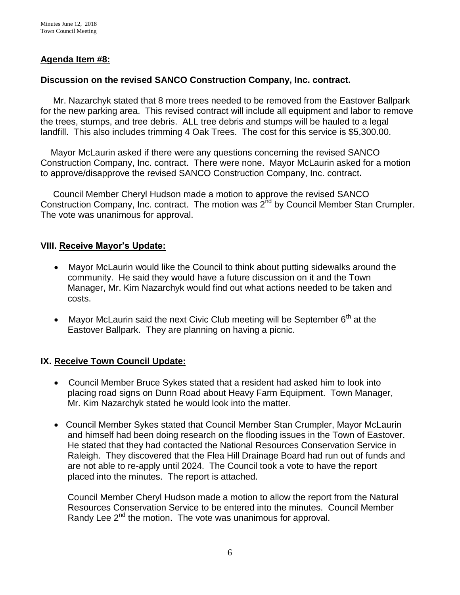# **Agenda Item #8:**

# **Discussion on the revised SANCO Construction Company, Inc. contract.**

Mr. Nazarchyk stated that 8 more trees needed to be removed from the Eastover Ballpark for the new parking area. This revised contract will include all equipment and labor to remove the trees, stumps, and tree debris. ALL tree debris and stumps will be hauled to a legal landfill. This also includes trimming 4 Oak Trees. The cost for this service is \$5,300.00.

 Mayor McLaurin asked if there were any questions concerning the revised SANCO Construction Company, Inc. contract. There were none. Mayor McLaurin asked for a motion to approve/disapprove the revised SANCO Construction Company, Inc. contract**.**

 Council Member Cheryl Hudson made a motion to approve the revised SANCO Construction Company, Inc. contract. The motion was  $2<sup>nd</sup>$  by Council Member Stan Crumpler. The vote was unanimous for approval.

# **VIII. Receive Mayor's Update:**

- Mayor McLaurin would like the Council to think about putting sidewalks around the community. He said they would have a future discussion on it and the Town Manager, Mr. Kim Nazarchyk would find out what actions needed to be taken and costs.
- Mayor McLaurin said the next Civic Club meeting will be September  $6<sup>th</sup>$  at the Eastover Ballpark. They are planning on having a picnic.

# **IX. Receive Town Council Update:**

- Council Member Bruce Sykes stated that a resident had asked him to look into placing road signs on Dunn Road about Heavy Farm Equipment. Town Manager, Mr. Kim Nazarchyk stated he would look into the matter.
- Council Member Sykes stated that Council Member Stan Crumpler, Mayor McLaurin and himself had been doing research on the flooding issues in the Town of Eastover. He stated that they had contacted the National Resources Conservation Service in Raleigh. They discovered that the Flea Hill Drainage Board had run out of funds and are not able to re-apply until 2024. The Council took a vote to have the report placed into the minutes. The report is attached.

Council Member Cheryl Hudson made a motion to allow the report from the Natural Resources Conservation Service to be entered into the minutes. Council Member Randy Lee  $2^{nd}$  the motion. The vote was unanimous for approval.